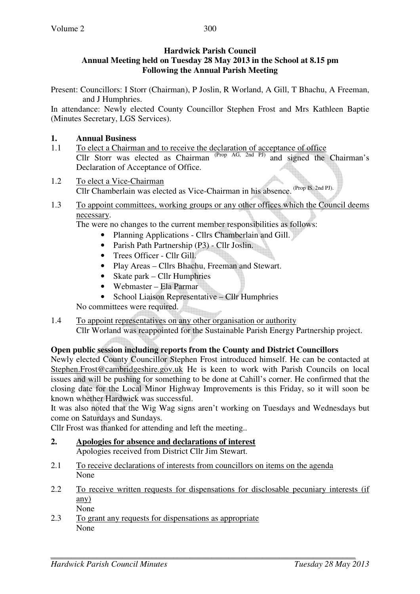## **Hardwick Parish Council Annual Meeting held on Tuesday 28 May 2013 in the School at 8.15 pm Following the Annual Parish Meeting**

Present: Councillors: I Storr (Chairman), P Joslin, R Worland, A Gill, T Bhachu, A Freeman, and J Humphries.

In attendance: Newly elected County Councillor Stephen Frost and Mrs Kathleen Baptie (Minutes Secretary, LGS Services).

# **1. Annual Business**

- 1.1 To elect a Chairman and to receive the declaration of acceptance of office Cllr Storr was elected as Chairman  $(Prop AG, 2nd PJ)$  and signed the Chairman's Declaration of Acceptance of Office.
- 1.2 To elect a Vice-Chairman Cllr Chamberlain was elected as Vice-Chairman in his absence. (Prop IS, 2nd PJ).
- 1.3 To appoint committees, working groups or any other offices which the Council deems necessary.

The were no changes to the current member responsibilities as follows:

- Planning Applications Cllrs Chamberlain and Gill.
- Parish Path Partnership (P3) Cllr Joslin.
- Trees Officer Cllr Gill.
- Play Areas Cllrs Bhachu, Freeman and Stewart.
- Skate park Cllr Humphries
- Webmaster Ela Parmar
- School Liaison Representative Cllr Humphries

No committees were required.

# 1.4 To appoint representatives on any other organisation or authority

Cllr Worland was reappointed for the Sustainable Parish Energy Partnership project.

# **Open public session including reports from the County and District Councillors**

Newly elected County Councillor Stephen Frost introduced himself. He can be contacted at Stephen.Frost@cambridgeshire.gov.uk He is keen to work with Parish Councils on local issues and will be pushing for something to be done at Cahill's corner. He confirmed that the closing date for the Local Minor Highway Improvements is this Friday, so it will soon be known whether Hardwick was successful.

It was also noted that the Wig Wag signs aren't working on Tuesdays and Wednesdays but come on Saturdays and Sundays.

Cllr Frost was thanked for attending and left the meeting..

- **2. Apologies for absence and declarations of interest** Apologies received from District Cllr Jim Stewart.
- 2.1 To receive declarations of interests from councillors on items on the agenda None
- 2.2 To receive written requests for dispensations for disclosable pecuniary interests (if any)
- None 2.3 To grant any requests for dispensations as appropriate None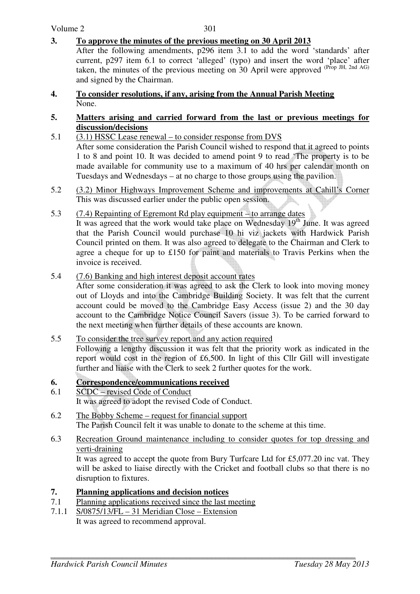### **3. To approve the minutes of the previous meeting on 30 April 2013**

After the following amendments, p296 item 3.1 to add the word 'standards' after current, p297 item 6.1 to correct 'alleged' (typo) and insert the word 'place' after taken, the minutes of the previous meeting on  $30$  April were approved (Prop JH, 2nd AG) and signed by the Chairman.

**4. To consider resolutions, if any, arising from the Annual Parish Meeting** None.

#### **5. Matters arising and carried forward from the last or previous meetings for discussion/decisions**

- 5.1 (3.1) HSSC Lease renewal to consider response from DVS After some consideration the Parish Council wished to respond that it agreed to points 1 to 8 and point 10. It was decided to amend point 9 to read 'The property is to be made available for community use to a maximum of 40 hrs per calendar month on Tuesdays and Wednesdays – at no charge to those groups using the pavilion.
- 5.2 (3.2) Minor Highways Improvement Scheme and improvements at Cahill's Corner This was discussed earlier under the public open session.
- 5.3 (7.4) Repainting of Egremont Rd play equipment to arrange dates

It was agreed that the work would take place on Wednesday  $19<sup>th</sup>$  June. It was agreed that the Parish Council would purchase 10 hi viz jackets with Hardwick Parish Council printed on them. It was also agreed to delegate to the Chairman and Clerk to agree a cheque for up to £150 for paint and materials to Travis Perkins when the invoice is received.

### 5.4 (7.6) Banking and high interest deposit account rates

After some consideration it was agreed to ask the Clerk to look into moving money out of Lloyds and into the Cambridge Building Society. It was felt that the current account could be moved to the Cambridge Easy Access (issue 2) and the 30 day account to the Cambridge Notice Council Savers (issue 3). To be carried forward to the next meeting when further details of these accounts are known.

#### 5.5 To consider the tree survey report and any action required

Following a lengthy discussion it was felt that the priority work as indicated in the report would cost in the region of £6,500. In light of this Cllr Gill will investigate further and liaise with the Clerk to seek 2 further quotes for the work.

#### **6. Correspondence/communications received**

- 6.1 SCDC revised Code of Conduct It was agreed to adopt the revised Code of Conduct.
- 6.2 The Bobby Scheme request for financial support The Parish Council felt it was unable to donate to the scheme at this time.
- 6.3 Recreation Ground maintenance including to consider quotes for top dressing and verti-draining

 It was agreed to accept the quote from Bury Turfcare Ltd for £5,077.20 inc vat. They will be asked to liaise directly with the Cricket and football clubs so that there is no disruption to fixtures.

### **7. Planning applications and decision notices**

- 7.1 Planning applications received since the last meeting
- 7.1.1 S/0875/13/FL 31 Meridian Close Extension It was agreed to recommend approval.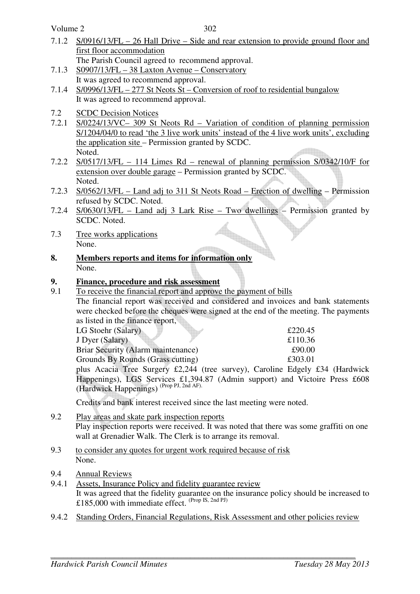Volume 2

302

- 7.1.2 S/0916/13/FL 26 Hall Drive Side and rear extension to provide ground floor and first floor accommodation
- The Parish Council agreed to recommend approval. 7.1.3 S0907/13/FL – 38 Laxton Avenue – Conservatory
- It was agreed to recommend approval.
- 7.1.4 S/0996/13/FL 277 St Neots St Conversion of roof to residential bungalow It was agreed to recommend approval.
- 7.2 SCDC Decision Notices
- 7.2.1 S/0224/13/VC– 309 St Neots Rd Variation of condition of planning permission S/1204/04/0 to read 'the 3 live work units' instead of the 4 live work units', excluding the application site – Permission granted by SCDC. Noted.
- 7.2.2 S/0517/13/FL 114 Limes Rd renewal of planning permission S/0342/10/F for extension over double garage – Permission granted by SCDC. Noted.
- 7.2.3 S/0562/13/FL Land adj to 311 St Neots Road Erection of dwelling Permission refused by SCDC. Noted.
- 7.2.4 S/0630/13/FL Land adj 3 Lark Rise Two dwellings Permission granted by SCDC. Noted.
- 7.3 Tree works applications None. **1.3** Tree works applications<br>
None.<br> **8.** Members reports and items for information only
- None.

# **9. Finance, procedure and risk assessment**

9.1 To receive the financial report and approve the payment of bills The financial report was received and considered and invoices and bank statements were checked before the cheques were signed at the end of the meeting. The payments

as listed in the finance report, LG Stoehr (Salary)  $\qquad 220.45$ J Dyer (Salary) £110.36 Briar Security (Alarm maintenance)  $\text{\pounds}90.00$ Grounds By Rounds (Grass cutting)  $£303.01$ 

plus Acacia Tree Surgery £2,244 (tree survey), Caroline Edgely £34 (Hardwick Happenings), LGS Services £1,394.87 (Admin support) and Victoire Press £608 (Hardwick Happenings) (Prop PJ, 2nd AF).

Credits and bank interest received since the last meeting were noted.

- 9.2 Play areas and skate park inspection reports Play inspection reports were received. It was noted that there was some graffiti on one wall at Grenadier Walk. The Clerk is to arrange its removal.
- 9.3 to consider any quotes for urgent work required because of risk None.
- 9.4 Annual Reviews
- 9.4.1 Assets, Insurance Policy and fidelity guarantee review It was agreed that the fidelity guarantee on the insurance policy should be increased to £185,000 with immediate effect. (Prop IS, 2nd PJ)
- 9.4.2 Standing Orders, Financial Regulations, Risk Assessment and other policies review